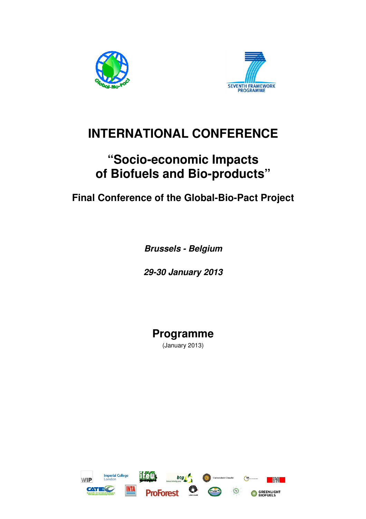



# **INTERNATIONAL CONFERENCE**

# **"Socio-economic Impacts of Biofuels and Bio-products"**

# **Final Conference of the Global-Bio-Pact Project**

**Brussels - Belgium** 

**29-30 January 2013** 

**Programme**  (January 2013)

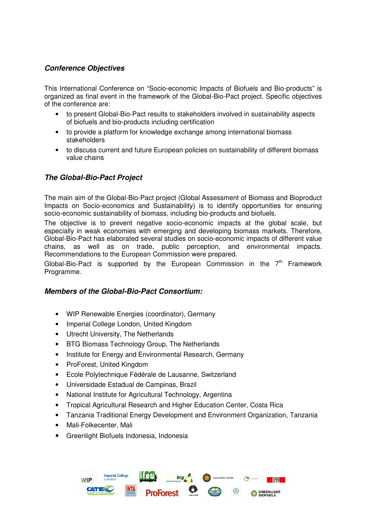## **Conference Objectives**

This International Conference on "Socio-economic Impacts of Biofuels and Bio-products" is organized as final event in the framework of the Global-Bio-Pact project. Specific objectives of the conference are:

- to present Global-Bio-Pact results to stakeholders involved in sustainability aspects of biofuels and bio-products including certification
- to provide a platform for knowledge exchange among international biomass stakeholders
- to discuss current and future European policies on sustainability of different biomass value chains

## **The Global-Bio-Pact Project**

The main aim of the Global-Bio-Pact project (Global Assessment of Biomass and Bioproduct Impacts on Socio-economics and Sustainability) is to identify opportunities for ensuring socio-economic sustainability of biomass, including bio-products and biofuels.

The objective is to prevent negative socio-economic impacts at the global scale, but especially in weak economies with emerging and developing biomass markets. Therefore, Global-Bio-Pact has elaborated several studies on socio-economic impacts of different value chains, as well as on trade, public perception, and environmental impacts. Recommendations to the European Commission were prepared.

Global-Bio-Pact is supported by the European Commission in the  $7<sup>th</sup>$  Framework Programme.

## **Members of the Global-Bio-Pact Consortium:**

- WIP Renewable Energies (coordinator), Germany
- Imperial College London, United Kingdom
- Utrecht University, The Netherlands
- BTG Biomass Technology Group, The Netherlands
- Institute for Energy and Environmental Research, Germany
- ProForest, United Kingdom
- Ecole Polytechnique Fédérale de Lausanne, Switzerland
- Universidade Estadual de Campinas, Brazil
- National Institute for Agricultural Technology, Argentina
- Tropical Agricultural Research and Higher Education Center, Costa Rica
- Tanzania Traditional Energy Development and Environment Organization, Tanzania
- Mali-Folkecenter, Mali
- Greenlight Biofuels Indonesia, Indonesia

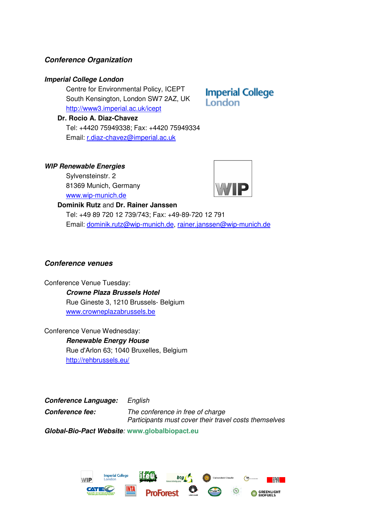## **Conference Organization**

### **Imperial College London**

Centre for Environmental Policy, ICEPT South Kensington, London SW7 2AZ, UK http://www3.imperial.ac.uk/icept

**Dr. Rocio A. Diaz-Chavez**

Tel: +4420 75949338; Fax: +4420 75949334 Email: r.diaz-chavez@imperial.ac.uk

### **WIP Renewable Energies**

Sylvensteinstr. 2 81369 Munich, Germany www.wip-munich.de

#### **Dominik Rutz** and **Dr. Rainer Janssen**

**Imperial College London** 



Tel: +49 89 720 12 739/743; Fax: +49-89-720 12 791 Email: dominik.rutz@wip-munich.de, rainer.janssen@wip-munich.de

## **Conference venues**

Conference Venue Tuesday:

**Crowne Plaza Brussels Hotel**  Rue Gineste 3, 1210 Brussels- Belgium www.crowneplazabrussels.be

Conference Venue Wednesday: **Renewable Energy House**  Rue d'Arlon 63; 1040 Bruxelles, Belgium http://rehbrussels.eu/

**Conference Language:** *English*  **Conference fee:** *The conference in free of charge Participants must cover their travel costs themselves* 

**Global-Bio-Pact Website***:* **www.globalbiopact.eu** 

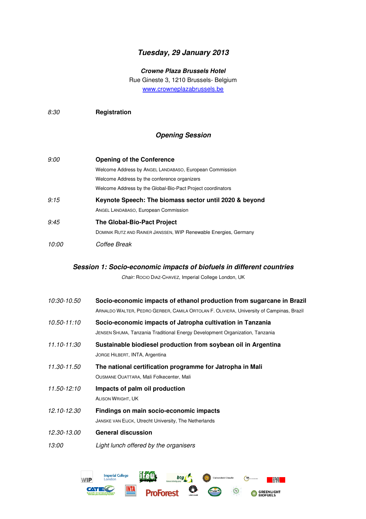## **Tuesday, 29 January 2013**

**Crowne Plaza Brussels Hotel** 

Rue Gineste 3, 1210 Brussels- Belgium www.crowneplazabrussels.be

*8:30* **Registration** 

## **Opening Session**

| 9:00         | <b>Opening of the Conference</b>                                 |
|--------------|------------------------------------------------------------------|
|              | Welcome Address by ANGEL LANDABASO, European Commission          |
|              | Welcome Address by the conference organizers                     |
|              | Welcome Address by the Global-Bio-Pact Project coordinators      |
| 9:15         | Keynote Speech: The biomass sector until 2020 & beyond           |
|              | ANGEL LANDABASO, European Commission                             |
| 9:45         | <b>The Global-Bio-Pact Project</b>                               |
|              | DOMINIK RUTZ AND RAINER JANSSEN, WIP Renewable Energies, Germany |
| <i>10:00</i> | Coffee Break                                                     |

#### **Session 1: Socio-economic impacts of biofuels in different countries**

*Chair:* ROCIO DIAZ-CHAVEZ, Imperial College London, UK

| <i>10:30-10.50</i>  | Socio-economic impacts of ethanol production from sugarcane in Brazil<br>ARNALDO WALTER, PEDRO GERBER, CAMILA ORTOLAN F. OLIVIERA, University of Campinas, Brazil |
|---------------------|-------------------------------------------------------------------------------------------------------------------------------------------------------------------|
| 10.50-11:10         | Socio-economic impacts of Jatropha cultivation in Tanzania<br>JENSEN SHUMA, Tanzania Traditional Energy Development Organization, Tanzania                        |
| 11.10-11:30         | Sustainable biodiesel production from soybean oil in Argentina<br>JORGE HILBERT, INTA, Argentina                                                                  |
| 11.30-11.50         | The national certification programme for Jatropha in Mali<br>OUSMANE OUATTARA, Mali Folkecenter, Mali                                                             |
| 11.50-12:10         | Impacts of palm oil production<br><b>ALISON WRIGHT, UK</b>                                                                                                        |
| 12.10-12.30         | Findings on main socio-economic impacts<br>JANSKE VAN EIJCK, Utrecht University, The Netherlands                                                                  |
| 12.30-13.00         | <b>General discussion</b>                                                                                                                                         |
| <i><b>13:00</b></i> | Light lunch offered by the organisers                                                                                                                             |

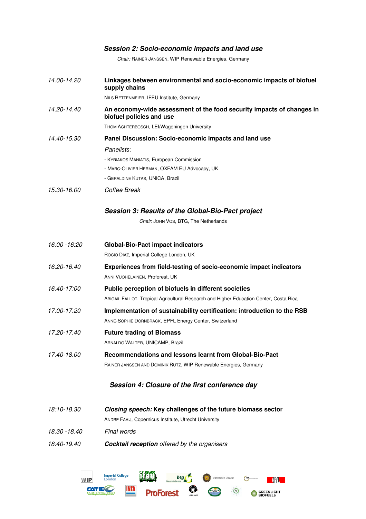## **Session 2: Socio-economic impacts and land use**

*Chair:* RAINER JANSSEN, WIP Renewable Energies, Germany

| 14.00-14.20   | Linkages between environmental and socio-economic impacts of biofuel<br>supply chains             |
|---------------|---------------------------------------------------------------------------------------------------|
|               | NILS RETTENMEIER, IFEU Institute, Germany                                                         |
| 14.20-14.40   | An economy-wide assessment of the food security impacts of changes in<br>biofuel policies and use |
|               | THOM ACHTERBOSCH, LEI/Wageningen University                                                       |
| 14.40-15.30   | Panel Discussion: Socio-economic impacts and land use                                             |
|               | Panelists:                                                                                        |
|               | - KYRIAKOS MANIATIS, European Commission                                                          |
|               | - MARC-OLIVIER HERMAN, OXFAM EU Advocacy, UK                                                      |
|               | - GERALDINE KUTAS, UNICA, Brazil                                                                  |
| 15.30-16.00   | Coffee Break                                                                                      |
|               | Session 3: Results of the Global-Bio-Pact project                                                 |
|               | Chair: JOHN VOS, BTG, The Netherlands                                                             |
|               |                                                                                                   |
| 16.00 -16:20  | <b>Global-Bio-Pact impact indicators</b>                                                          |
|               | Rocio Diaz, Imperial College London, UK                                                           |
| 16.20-16.40   | Experiences from field-testing of socio-economic impact indicators                                |
|               | ANNI VUOHELAINEN, Proforest, UK                                                                   |
| 16.40-17:00   | Public perception of biofuels in different societies                                              |
|               | ABIGAIL FALLOT, Tropical Agricultural Research and Higher Education Center, Costa Rica            |
| 17.00-17.20   | Implementation of sustainability certification: introduction to the RSB                           |
|               | ANNE-SOPHIE DÖRNBRACK, EPFL Energy Center, Switzerland                                            |
| 17.20-17.40   | <b>Future trading of Biomass</b>                                                                  |
|               | ARNALDO WALTER, UNICAMP, Brazil                                                                   |
| 17.40-18.00   | Recommendations and lessons learnt from Global-Bio-Pact                                           |
|               | RAINER JANSSEN AND DOMINIK RUTZ, WIP Renewable Energies, Germany                                  |
|               | Session 4: Closure of the first conference day                                                    |
|               |                                                                                                   |
| 18:10-18.30   | Closing speech: Key challenges of the future biomass sector                                       |
|               | ANDRE FAAIJ, Copernicus Institute, Utrecht University                                             |
| 18.30 - 18.40 | Final words                                                                                       |
| 18:40-19.40   | <b>Cocktail reception</b> offered by the organisers                                               |
|               |                                                                                                   |